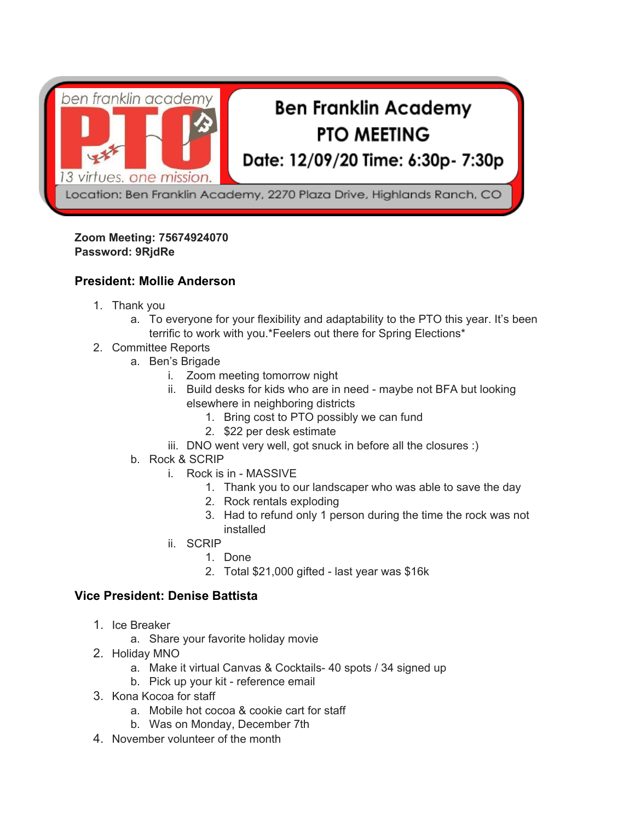

#### **Zoom Meeting: 75674924070 Password: 9RjdRe**

# **President: Mollie Anderson**

- 1. Thank you
	- a. To everyone for your flexibility and adaptability to the PTO this year. It's been terrific to work with you.\*Feelers out there for Spring Elections\*
- 2. Committee Reports
	- a. Ben's Brigade
		- i. Zoom meeting tomorrow night
		- ii. Build desks for kids who are in need maybe not BFA but looking elsewhere in neighboring districts
			- 1. Bring cost to PTO possibly we can fund
			- 2. \$22 per desk estimate
		- iii. DNO went very well, got snuck in before all the closures :)
	- b. Rock & SCRIP
		- i. Rock is in MASSIVE
			- 1. Thank you to our landscaper who was able to save the day
			- 2. Rock rentals exploding
			- 3. Had to refund only 1 person during the time the rock was not installed
		- ii. SCRIP
			- 1. Done
			- 2. Total \$21,000 gifted last year was \$16k

# **Vice President: Denise Battista**

- 1. Ice Breaker
	- a. Share your favorite holiday movie
- 2. Holiday MNO
	- a. Make it virtual Canvas & Cocktails- 40 spots / 34 signed up
	- b. Pick up your kit reference email
- 3. Kona Kocoa for staff
	- a. Mobile hot cocoa & cookie cart for staff
	- b. Was on Monday, December 7th
- 4. November volunteer of the month